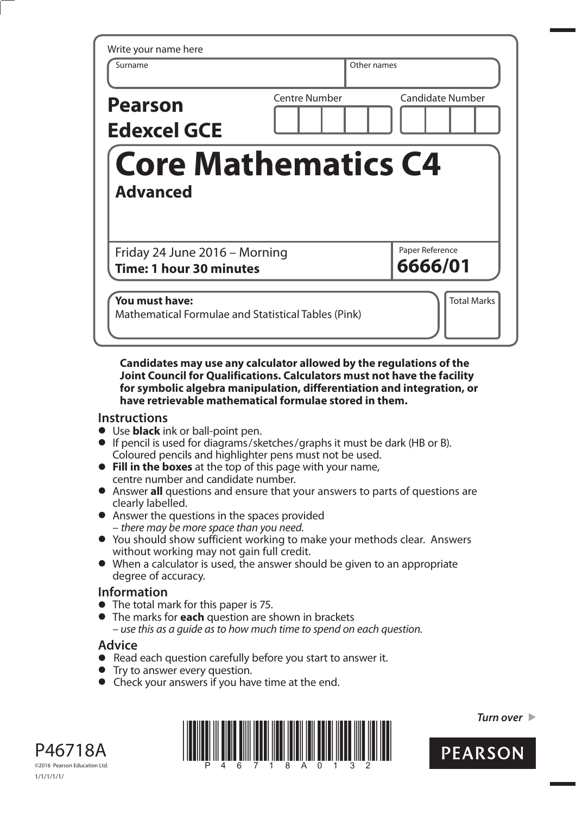| Write your name here<br>Surname                          | Other names                              |
|----------------------------------------------------------|------------------------------------------|
| <b>Pearson</b><br><b>Edexcel GCE</b>                     | Centre Number<br><b>Candidate Number</b> |
|                                                          |                                          |
| <b>Advanced</b>                                          | <b>Core Mathematics C4</b>               |
|                                                          | Paper Reference                          |
| Friday 24 June 2016 - Morning<br>Time: 1 hour 30 minutes | 6666/01                                  |

**Candidates may use any calculator allowed by the regulations of the Joint Council for Qualifications. Calculators must not have the facility for symbolic algebra manipulation, differentiation and integration, or have retrievable mathematical formulae stored in them.** 

## **Instructions**

- **•** Use **black** ink or ball-point pen.
- **•** If pencil is used for diagrams/sketches/graphs it must be dark (HB or B). Coloured pencils and highlighter pens must not be used. **• Fill in the boxes** at the top of this page with your name,
- centre number and candidate number. **•** Fill in the boxes at the top of this page with your name,<br>
centre number and candidate number.<br>
• Answer all questions and ensure that your answers to parts of questions are
- clearly labelled.
- **•** Answer the questions in the spaces provided – there may be more space than you need.
- **•** You should show sufficient working to make your methods clear. Answers without working may not gain full credit.
- **•** When a calculator is used, the answer should be given to an appropriate degree of accuracy.

## **Information**

- **•** The total mark for this paper is 75.
- **•** The marks for **each** question are shown in brackets – use this as a guide as to how much time to spend on each question.

## **Advice**

- **Advice**<br>● Read each question carefully before you start to answer it. • Read each question carefully<br>• Try to answer every question.
- 
- Try to answer every question.<br>• Check your answers if you have time at the end.





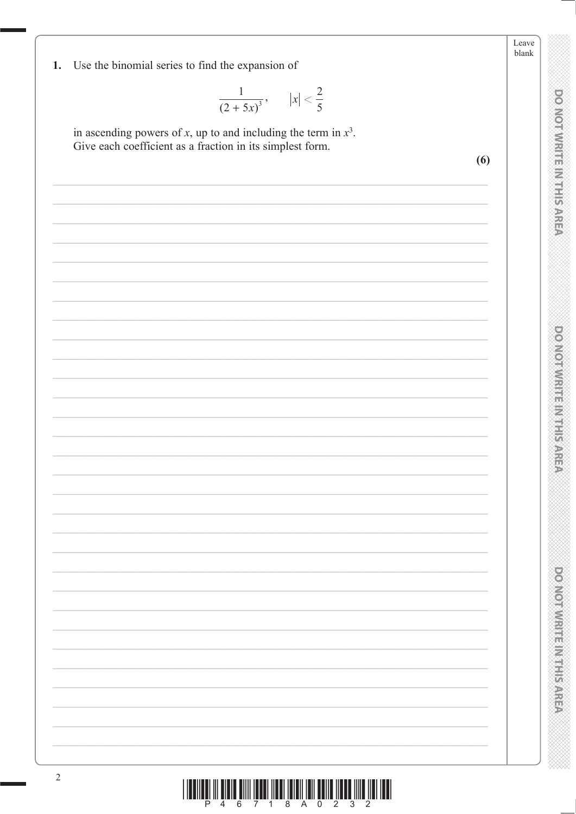|            |                                                                                                                                   | Leave<br>blank |
|------------|-----------------------------------------------------------------------------------------------------------------------------------|----------------|
| 1.         | Use the binomial series to find the expansion of                                                                                  |                |
|            | $\frac{1}{(2+5x)^3}$ , $ x  < \frac{2}{5}$                                                                                        |                |
|            | in ascending powers of $x$ , up to and including the term in $x^3$ .<br>Give each coefficient as a fraction in its simplest form. |                |
|            | (6)                                                                                                                               |                |
|            |                                                                                                                                   |                |
|            |                                                                                                                                   |                |
|            |                                                                                                                                   |                |
|            |                                                                                                                                   |                |
|            |                                                                                                                                   |                |
|            |                                                                                                                                   |                |
|            |                                                                                                                                   |                |
|            |                                                                                                                                   |                |
|            |                                                                                                                                   |                |
|            |                                                                                                                                   |                |
|            |                                                                                                                                   |                |
|            |                                                                                                                                   |                |
|            |                                                                                                                                   |                |
|            |                                                                                                                                   |                |
|            |                                                                                                                                   |                |
|            |                                                                                                                                   |                |
|            |                                                                                                                                   |                |
|            |                                                                                                                                   |                |
|            |                                                                                                                                   |                |
|            |                                                                                                                                   |                |
|            |                                                                                                                                   |                |
|            |                                                                                                                                   |                |
|            |                                                                                                                                   |                |
| $\sqrt{2}$ |                                                                                                                                   |                |
|            | IIII<br>WWW<br>║║║<br>P<br>8<br>0<br>$\overline{2}$<br>3<br>2<br>1                                                                |                |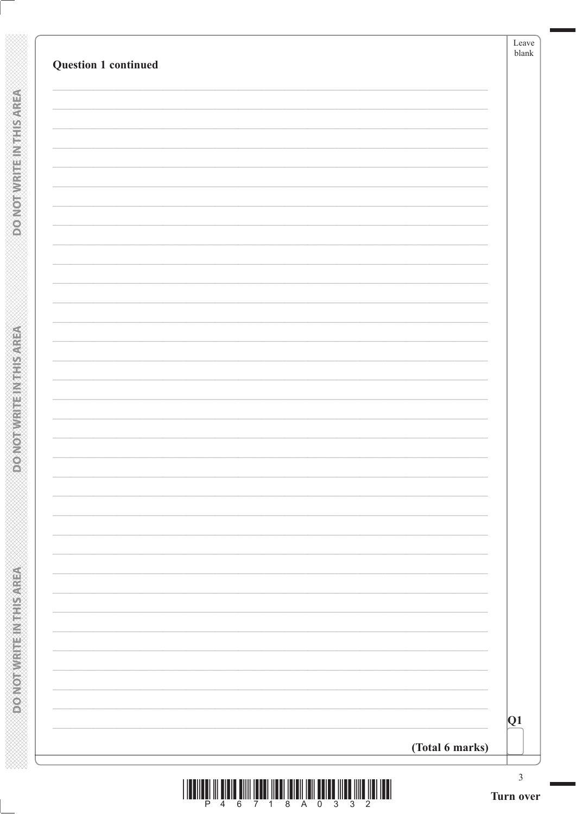| Q1 |
|----|

**DOMOTIVRITEINTHISAREA** 

**DO NOT WRITE INTHIS AREA**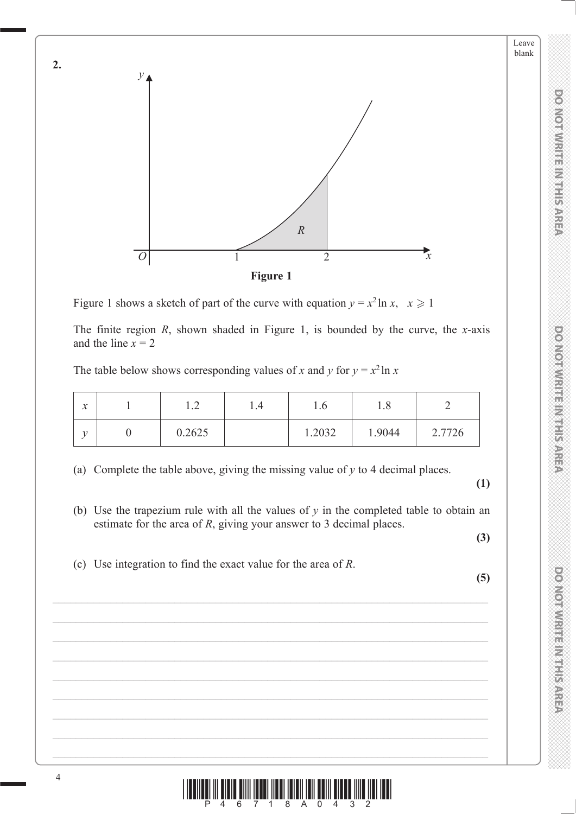

Figure 1 shows a sketch of part of the curve with equation  $y = x^2 \ln x$ ,  $x \ge 1$ 

The finite region *R*, shown shaded in Figure 1, is bounded by the curve, the *x*-axis and the line  $x = 2$ 

The table below shows corresponding values of *x* and *y* for  $y = x^2 \ln x$ 

| $\sim$<br>$\lambda$ | $\sim$<br>. . <u>.</u> | 1.4 | 1.0    | 1.0    |        |
|---------------------|------------------------|-----|--------|--------|--------|
| ۰,                  | 0.2625                 |     | 1.2032 | 1.9044 | 2.7726 |

(a) Complete the table above, giving the missing value of *y* to 4 decimal places.

 **(1)**

**DO NOT WRITE IN THIS AREA DO NOT WRITE IN THIS AREA DO NOT WRITE IN THIS AREA DO NOT WRITE IN THIS AREA DO NOT WRITE IN THIS AREA DO NOT WRITE IN THIS AREA DO NOT WRITE IN THIS AREA DO NOT WRITE IN THIS AREA DO NOT WRITE** 

DO NOT WRITE IN THIS AREA

DOMOTIVIRITE IN IT IS AREA

**DO NOTWRITE IN THIS AREA** 

Leave blank

 (b) Use the trapezium rule with all the values of *y* in the completed table to obtain an estimate for the area of *R*, giving your answer to 3 decimal places.

 **(3)**

(c) Use integration to find the exact value for the area of *R*.

**(5)**



**2.**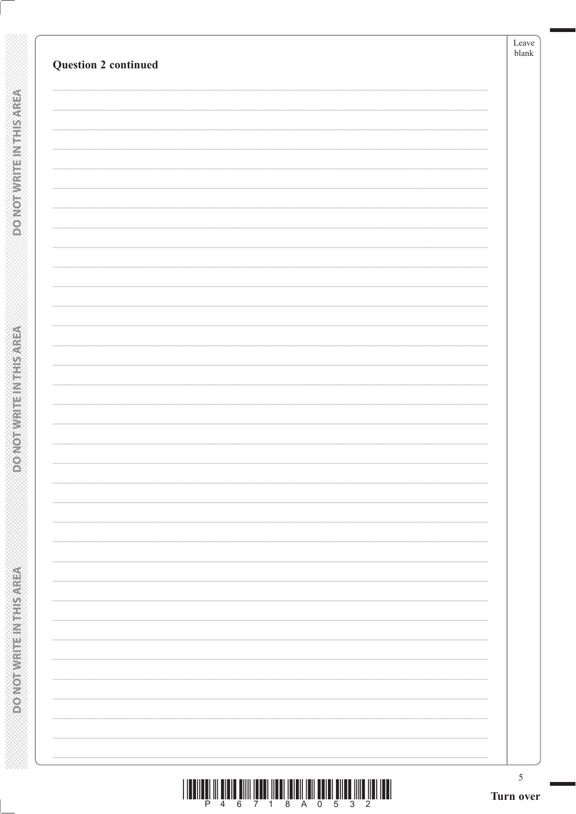| <b>Question 2 continued</b> |  |
|-----------------------------|--|
|                             |  |
|                             |  |
|                             |  |
|                             |  |
|                             |  |
|                             |  |
|                             |  |
|                             |  |
|                             |  |
|                             |  |
|                             |  |
|                             |  |
|                             |  |
|                             |  |
|                             |  |
|                             |  |
|                             |  |
|                             |  |
|                             |  |
|                             |  |
|                             |  |

**DONOT WRITEIN THIS AREA** 

**DONOTWRITE INTHISAREA**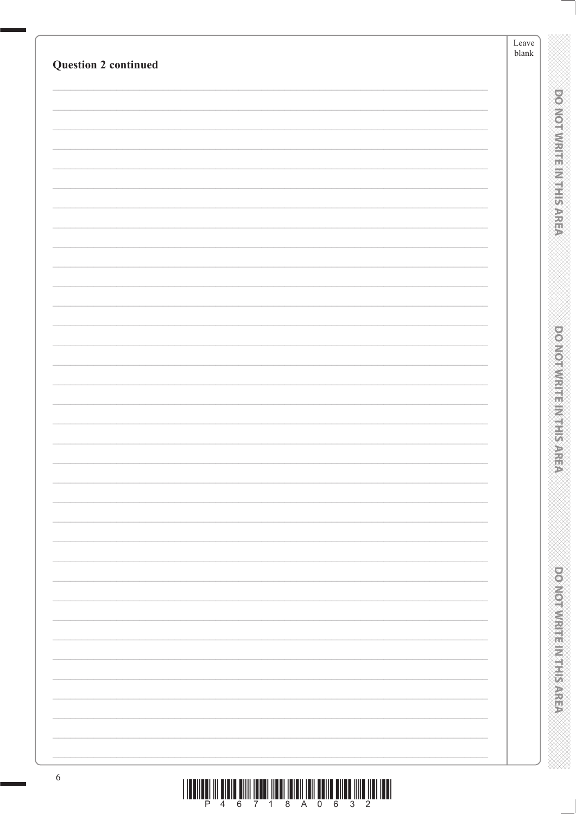| <b>Question 2 continued</b> | ${\rm Leave}$<br>blank |                                  |
|-----------------------------|------------------------|----------------------------------|
|                             |                        |                                  |
|                             |                        |                                  |
|                             |                        | <b>DO NOT WRITE IN THIS AREA</b> |
|                             |                        |                                  |
|                             |                        |                                  |
|                             |                        |                                  |
|                             |                        |                                  |
|                             |                        |                                  |
|                             |                        |                                  |
|                             |                        |                                  |
|                             |                        |                                  |
|                             |                        |                                  |
|                             |                        |                                  |
|                             |                        |                                  |
|                             |                        |                                  |
|                             |                        |                                  |
|                             |                        |                                  |
|                             |                        |                                  |
|                             |                        |                                  |
|                             |                        | <b>DOMOVICE IN STREET STATE</b>  |
|                             |                        |                                  |
|                             |                        |                                  |
|                             |                        |                                  |
|                             |                        |                                  |
|                             |                        |                                  |
|                             |                        |                                  |
|                             |                        |                                  |
|                             |                        |                                  |
|                             |                        |                                  |
|                             |                        |                                  |
|                             |                        |                                  |
|                             |                        |                                  |
|                             |                        | <b>DOMORRING HEADS AREA</b>      |
|                             |                        |                                  |
|                             |                        |                                  |
|                             |                        |                                  |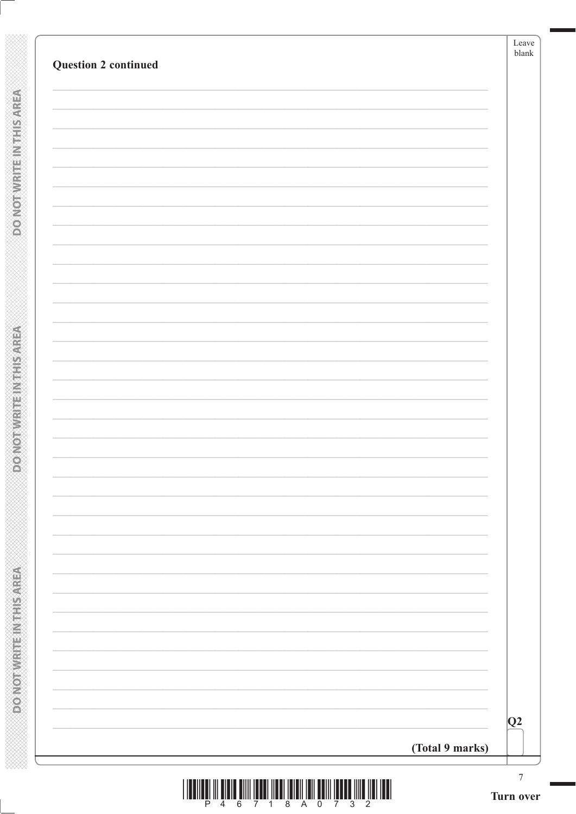| <b>Question 2 continued</b> |                 |
|-----------------------------|-----------------|
|                             |                 |
|                             |                 |
|                             |                 |
|                             |                 |
|                             |                 |
|                             |                 |
|                             |                 |
|                             |                 |
|                             |                 |
|                             |                 |
|                             |                 |
|                             |                 |
|                             |                 |
|                             |                 |
|                             |                 |
|                             |                 |
|                             |                 |
|                             |                 |
|                             |                 |
|                             |                 |
|                             |                 |
|                             |                 |
|                             |                 |
|                             |                 |
|                             |                 |
|                             |                 |
|                             |                 |
|                             |                 |
|                             | Q2              |
|                             | (Total 9 marks) |

**DONOTWRITEINTHISMREA** 

**DO NOT WRITE INTHIS AREA**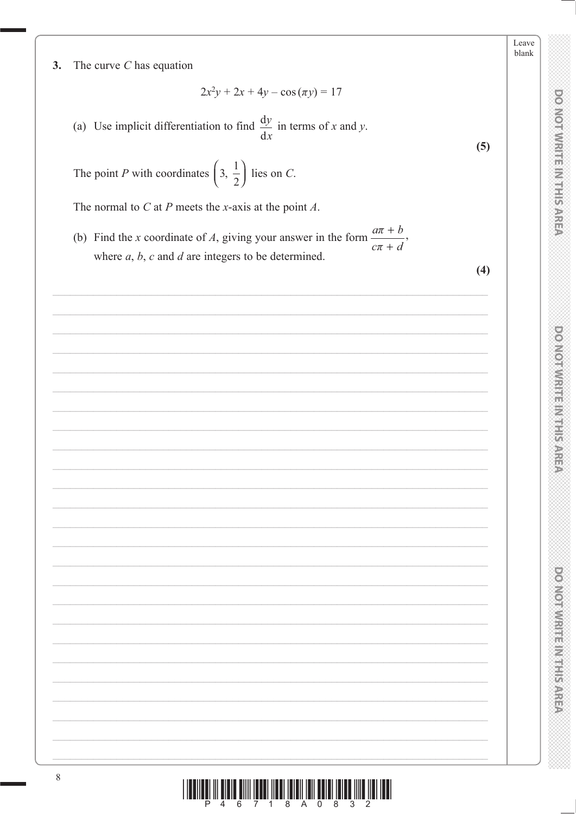$3.$ The curve  $C$  has equation

$$
2x^2y + 2x + 4y - \cos(\pi y) = 17
$$

(a) Use implicit differentiation to find  $\frac{dy}{dx}$  in terms of x and y.

The point P with coordinates  $\left(3, \frac{1}{2}\right)$  lies on C.

The normal to  $C$  at  $P$  meets the x-axis at the point  $A$ .

(b) Find the *x* coordinate of *A*, giving your answer in the form  $\frac{a\pi + b}{a}$ where  $a, b, c$  and  $d$  are integers to be determined.

 $(4)$ 

 $(5)$ 

Leave blank

**DO NOTWRITE IN THIS AREA** 

DOMOTIVITIE IN THE AREA

DOMOTWRITEIN IS AREA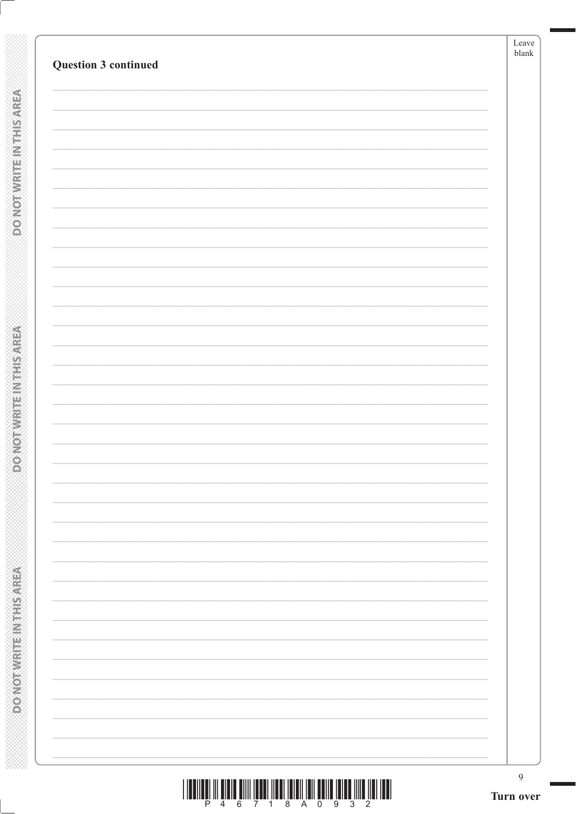| Question 3 continued |  |
|----------------------|--|
|                      |  |
|                      |  |
|                      |  |
|                      |  |
|                      |  |
|                      |  |
|                      |  |
|                      |  |
|                      |  |
|                      |  |
|                      |  |
|                      |  |
|                      |  |
|                      |  |
|                      |  |
|                      |  |
|                      |  |
|                      |  |
|                      |  |
|                      |  |

**DONOT WRITEIN THIS AREA** 

**DONOTWRITE INTHISAREA**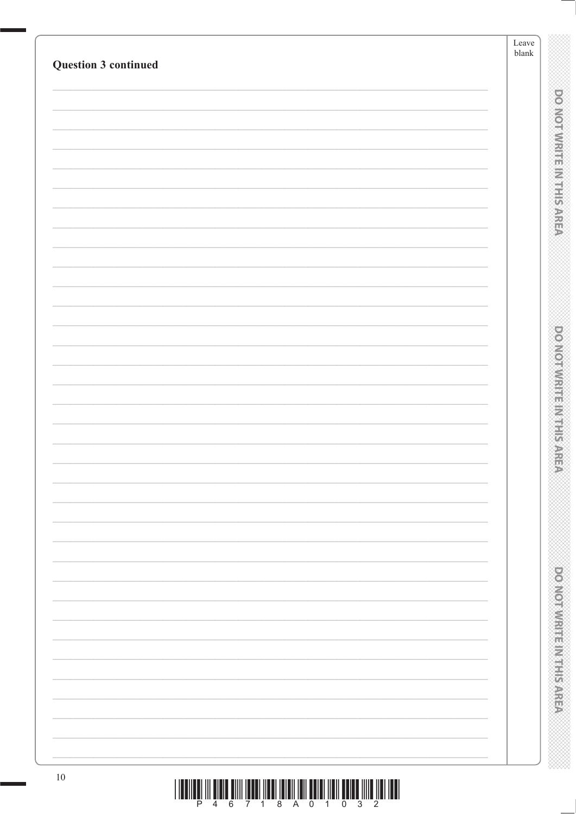|                                                                                                                                                                                                                                                                         | ${\it Leave}$<br>blank |                                     |
|-------------------------------------------------------------------------------------------------------------------------------------------------------------------------------------------------------------------------------------------------------------------------|------------------------|-------------------------------------|
| Question 3 continued                                                                                                                                                                                                                                                    |                        |                                     |
|                                                                                                                                                                                                                                                                         |                        |                                     |
|                                                                                                                                                                                                                                                                         |                        | <b>DO NOT WRITE IN THIS AREA</b>    |
|                                                                                                                                                                                                                                                                         |                        |                                     |
|                                                                                                                                                                                                                                                                         |                        |                                     |
|                                                                                                                                                                                                                                                                         |                        |                                     |
|                                                                                                                                                                                                                                                                         |                        |                                     |
|                                                                                                                                                                                                                                                                         |                        |                                     |
|                                                                                                                                                                                                                                                                         |                        |                                     |
|                                                                                                                                                                                                                                                                         |                        |                                     |
|                                                                                                                                                                                                                                                                         |                        |                                     |
|                                                                                                                                                                                                                                                                         |                        |                                     |
|                                                                                                                                                                                                                                                                         |                        | <b>DOMESTIC RELEASED AND STREET</b> |
|                                                                                                                                                                                                                                                                         |                        |                                     |
|                                                                                                                                                                                                                                                                         |                        |                                     |
|                                                                                                                                                                                                                                                                         |                        |                                     |
|                                                                                                                                                                                                                                                                         |                        |                                     |
|                                                                                                                                                                                                                                                                         |                        |                                     |
|                                                                                                                                                                                                                                                                         |                        |                                     |
|                                                                                                                                                                                                                                                                         |                        |                                     |
|                                                                                                                                                                                                                                                                         |                        |                                     |
|                                                                                                                                                                                                                                                                         |                        |                                     |
|                                                                                                                                                                                                                                                                         |                        |                                     |
|                                                                                                                                                                                                                                                                         |                        |                                     |
|                                                                                                                                                                                                                                                                         |                        |                                     |
|                                                                                                                                                                                                                                                                         |                        |                                     |
|                                                                                                                                                                                                                                                                         |                        |                                     |
|                                                                                                                                                                                                                                                                         |                        | <b>DOMOROVICE IN PERSONS</b>        |
|                                                                                                                                                                                                                                                                         |                        |                                     |
|                                                                                                                                                                                                                                                                         |                        |                                     |
| $10\,$<br>$\begin{smallmatrix} \color{blue} 1 & 1 & \text{min} & \text{min} & \text{min} & \text{min} & \text{min} & \text{min} & \text{min} & \text{min} & \text{min} & \text{min} & \text{min} & \text{min} & \text{min} & \text{min} & \text{min} \end{smallmatrix}$ |                        |                                     |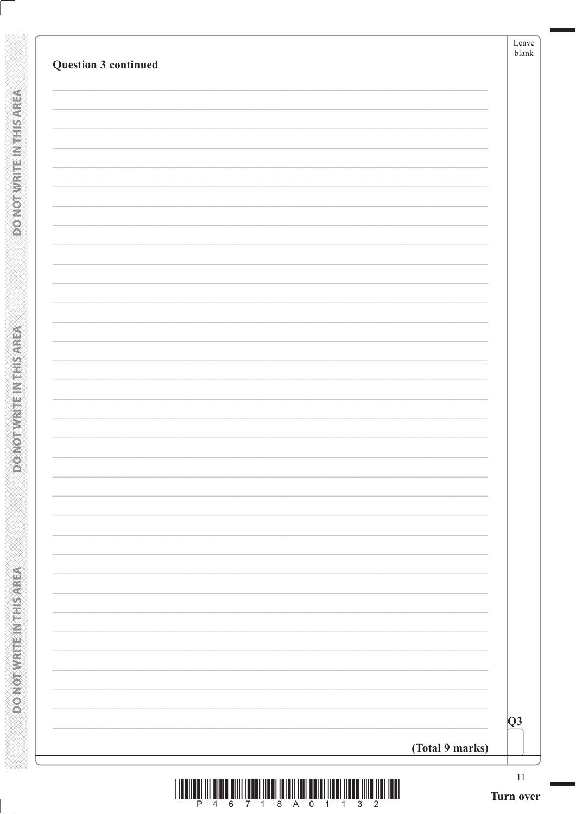| Q3 |  |
|----|--|

**POMOTMANTEM THISAREA** 

**DO NOTWRITE INTHIS AREA**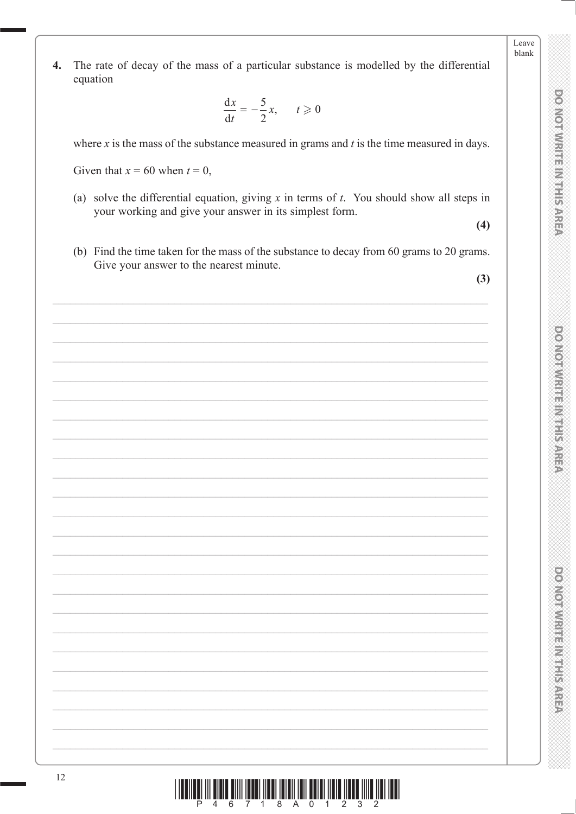Leave hlank

The rate of decay of the mass of a particular substance is modelled by the differential  $\overline{4}$ . equation

$$
\frac{\mathrm{d}x}{\mathrm{d}t} = -\frac{5}{2}x, \qquad t \geqslant 0
$$

where  $x$  is the mass of the substance measured in grams and  $t$  is the time measured in days.

Given that  $x = 60$  when  $t = 0$ ,

(a) solve the differential equation, giving  $x$  in terms of  $t$ . You should show all steps in your working and give your answer in its simplest form.

 $(4)$ 

(b) Find the time taken for the mass of the substance to decay from 60 grams to 20 grams. Give your answer to the nearest minute.

 $(3)$ 

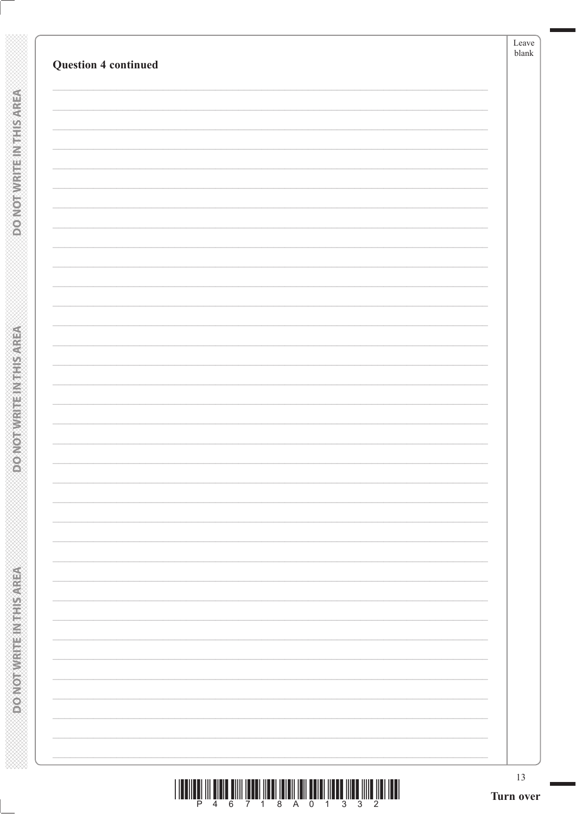| <b>Question 4 continued</b> |  |
|-----------------------------|--|
|                             |  |
|                             |  |
|                             |  |
|                             |  |
|                             |  |
|                             |  |
|                             |  |
|                             |  |
|                             |  |
|                             |  |
|                             |  |
|                             |  |
|                             |  |
|                             |  |
|                             |  |
|                             |  |
|                             |  |
|                             |  |
|                             |  |
|                             |  |
|                             |  |
|                             |  |
|                             |  |
|                             |  |
|                             |  |
|                             |  |
|                             |  |
|                             |  |
|                             |  |
|                             |  |

**POINOT WRITEIN THIS AREA** 

**DOMOTWRITE INTHIS AREA**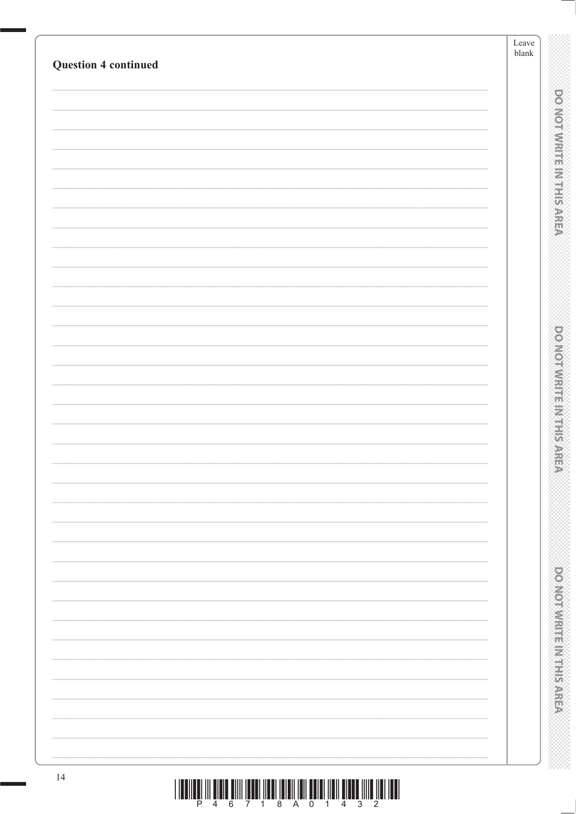|                             | Leave<br>blank |                                  |
|-----------------------------|----------------|----------------------------------|
| <b>Question 4 continued</b> |                |                                  |
|                             |                |                                  |
|                             |                |                                  |
|                             |                |                                  |
|                             |                |                                  |
|                             |                |                                  |
|                             |                | <b>DO NOT WRITE IN THIS AREA</b> |
|                             |                |                                  |
|                             |                |                                  |
|                             |                |                                  |
|                             |                |                                  |
|                             |                |                                  |
|                             |                |                                  |
|                             |                |                                  |
|                             |                |                                  |
|                             |                |                                  |
|                             |                | <b>DOMOVICE IN STREET STATE</b>  |
|                             |                |                                  |
|                             |                |                                  |
|                             |                |                                  |
|                             |                |                                  |
|                             |                |                                  |
|                             |                |                                  |
|                             |                |                                  |
|                             |                |                                  |
|                             |                |                                  |
|                             |                |                                  |
|                             |                | <b>DOMOROVICE IN PERSONS</b>     |
|                             |                |                                  |
|                             |                |                                  |
|                             |                |                                  |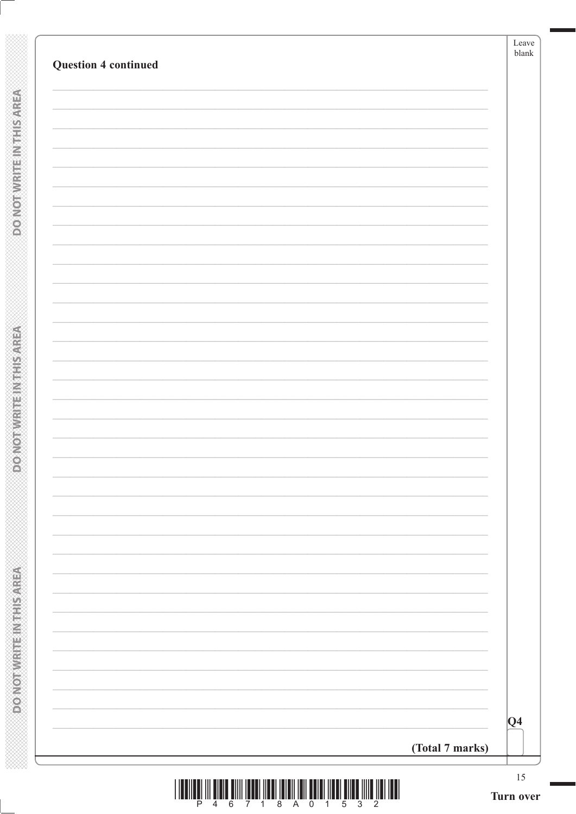| <b>Question 4 continued</b> |                 |         |
|-----------------------------|-----------------|---------|
|                             |                 |         |
|                             |                 |         |
|                             |                 |         |
|                             |                 |         |
|                             |                 |         |
|                             |                 |         |
|                             |                 |         |
|                             |                 |         |
|                             |                 |         |
|                             |                 |         |
|                             |                 |         |
|                             |                 |         |
|                             |                 |         |
|                             |                 |         |
|                             |                 |         |
|                             |                 |         |
|                             |                 |         |
|                             |                 |         |
|                             |                 |         |
|                             |                 |         |
|                             |                 |         |
|                             |                 |         |
|                             |                 |         |
|                             |                 |         |
|                             |                 |         |
|                             |                 |         |
|                             |                 |         |
|                             |                 |         |
|                             |                 | $ Q_4 $ |
|                             | (Total 7 marks) |         |

**POWSHIP METHOMOROO** 

**DONOTWRITEIN THIS AREA**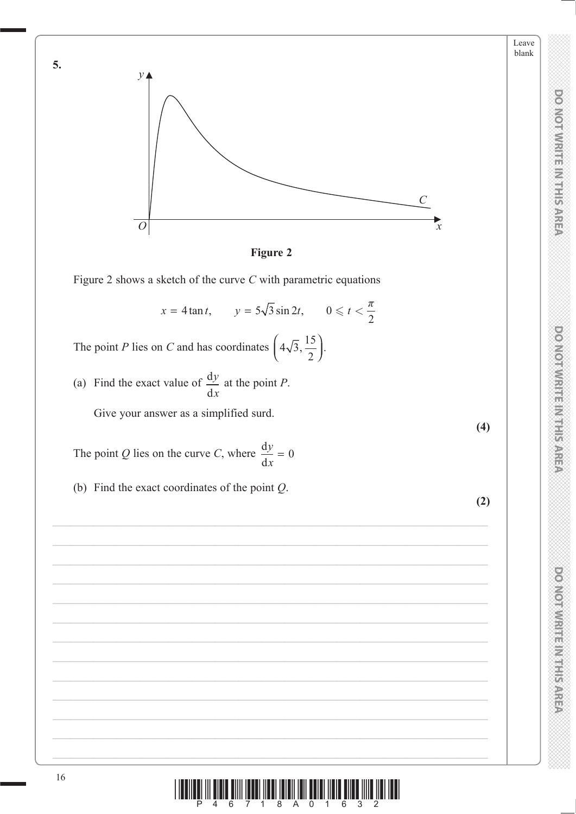



Figure 2 shows a sketch of the curve  $C$  with parametric equations

 $x = 4 \tan t$ ,  $y = 5\sqrt{3} \sin 2t$ ,  $0 \le t < \frac{\pi}{2}$ 

The point *P* lies on *C* and has coordinates  $\left(4\sqrt{3}, \frac{15}{2}\right)$ .

(a) Find the exact value of  $\frac{dy}{dx}$  at the point *P*. Give your answer as a simplified surd.

The point Q lies on the curve C, where  $\frac{dy}{dx} = 0$ 

(b) Find the exact coordinates of the point  $Q$ .

**DO NOTWRITE IN THIS AREA** 

Leave blank

 $(4)$ 

 $(2)$ 



5.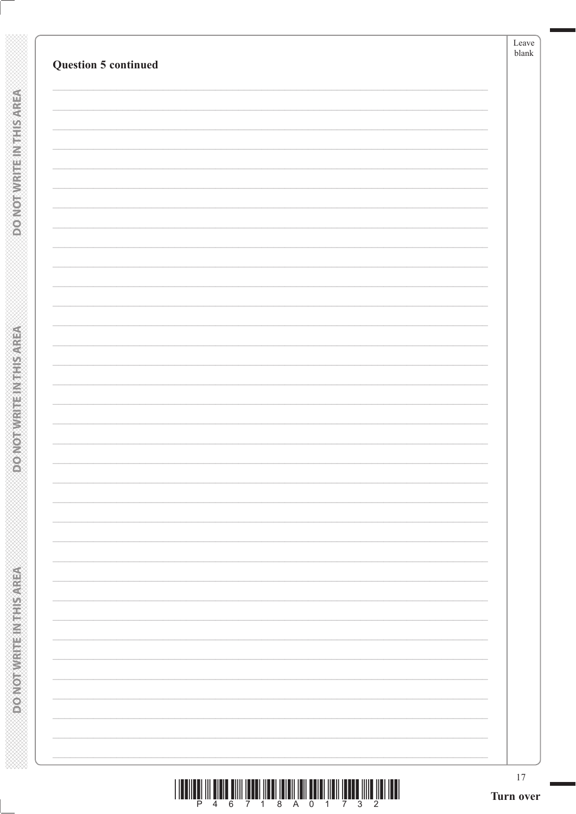| <b>Question 5 continued</b> |  |
|-----------------------------|--|
|                             |  |
|                             |  |
|                             |  |
|                             |  |
|                             |  |
|                             |  |
|                             |  |
|                             |  |
|                             |  |
|                             |  |
|                             |  |
|                             |  |
|                             |  |
|                             |  |
|                             |  |
|                             |  |
|                             |  |
|                             |  |
|                             |  |

**DONOTWRITEINTHISMREA** 

**PONOTWRITE INTHIS AREA**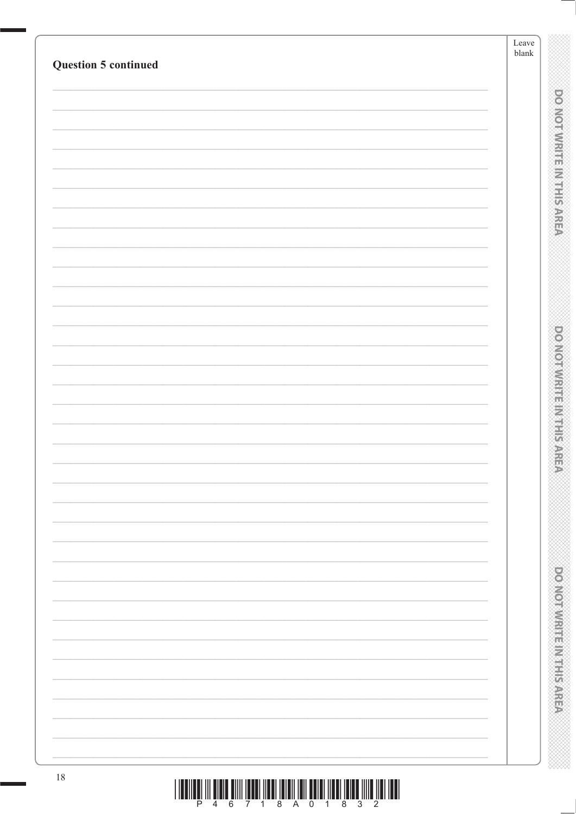|                             | Leave<br>blank |                                 |
|-----------------------------|----------------|---------------------------------|
| <b>Question 5 continued</b> |                |                                 |
|                             |                |                                 |
|                             |                | <b>DO NOTWERTHER NEEDS</b>      |
|                             |                |                                 |
|                             |                |                                 |
|                             |                |                                 |
|                             |                |                                 |
|                             |                |                                 |
|                             |                |                                 |
|                             |                |                                 |
|                             |                |                                 |
|                             |                |                                 |
|                             |                | <b>DOMOVICE IN STREET STATE</b> |
|                             |                |                                 |
|                             |                |                                 |
|                             |                |                                 |
|                             |                |                                 |
|                             |                |                                 |
|                             |                |                                 |
|                             |                |                                 |
|                             |                |                                 |
|                             |                |                                 |
|                             |                |                                 |
|                             |                |                                 |
|                             |                |                                 |
|                             |                |                                 |
|                             |                |                                 |
|                             |                |                                 |
|                             |                | <b>DOMOROVICE IN PERSONS</b>    |
|                             |                |                                 |
|                             |                |                                 |
| $18\,$                      |                |                                 |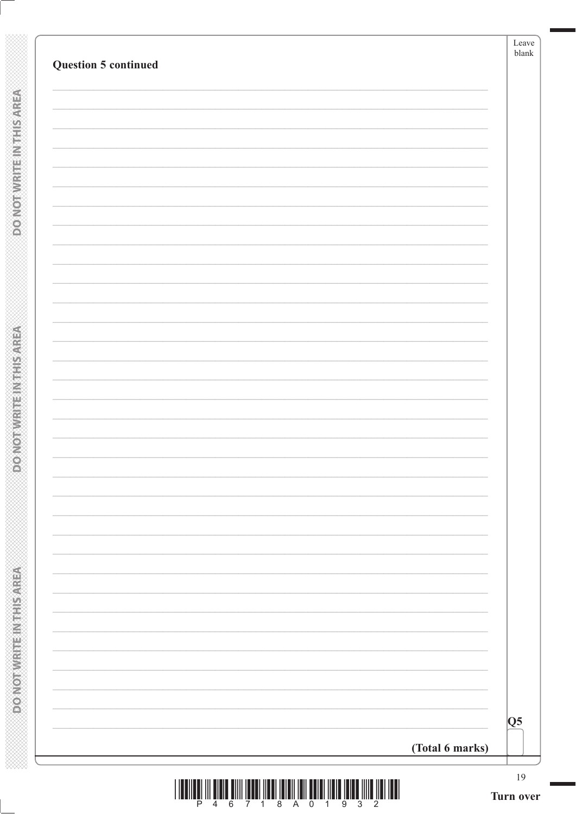| Q5 |
|----|
|    |
|    |
|    |
|    |
|    |
|    |
|    |
|    |
|    |
|    |
|    |
|    |
|    |
|    |
|    |
|    |
|    |
|    |
|    |
|    |
|    |
|    |
|    |
|    |
|    |
|    |

**POWSHIP METHOMOROO** 

**DONOTWRITEIN THIS AREA**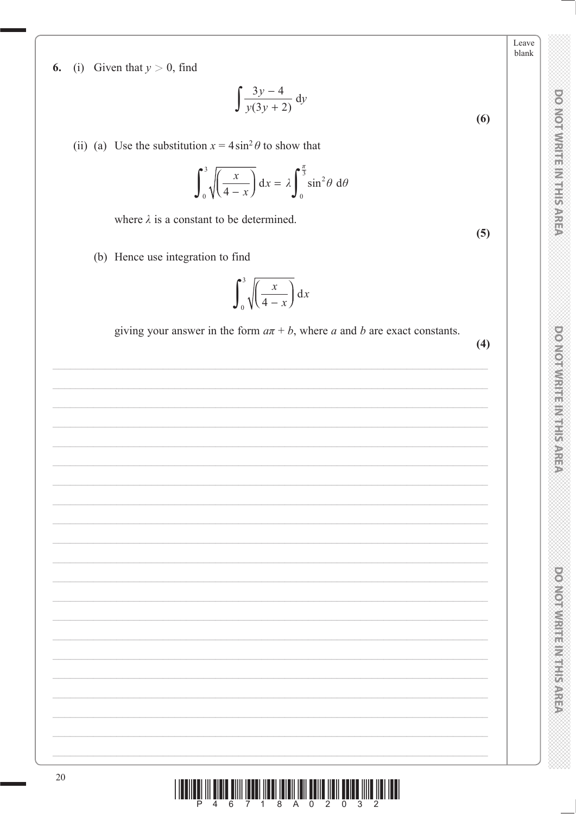Leave blank

DO NOT WRITE IN THIS AREA

**DOMOTWRITERNIES** 

 $(4)$ 

 $(5)$ 



 $\int \frac{3y-4}{y(3y+2)} dy$  $(6)$ 

(ii) (a) Use the substitution  $x = 4 \sin^2 \theta$  to show that

$$
\int_0^3 \sqrt{\left(\frac{x}{4-x}\right)} dx = \lambda \int_0^{\frac{\pi}{3}} \sin^2 \theta \ d\theta
$$

where  $\lambda$  is a constant to be determined.

(b) Hence use integration to find

## $\int_0^3 \sqrt{\left(\frac{x}{4-x}\right)} dx$

giving your answer in the form  $a\pi + b$ , where a and b are exact constants.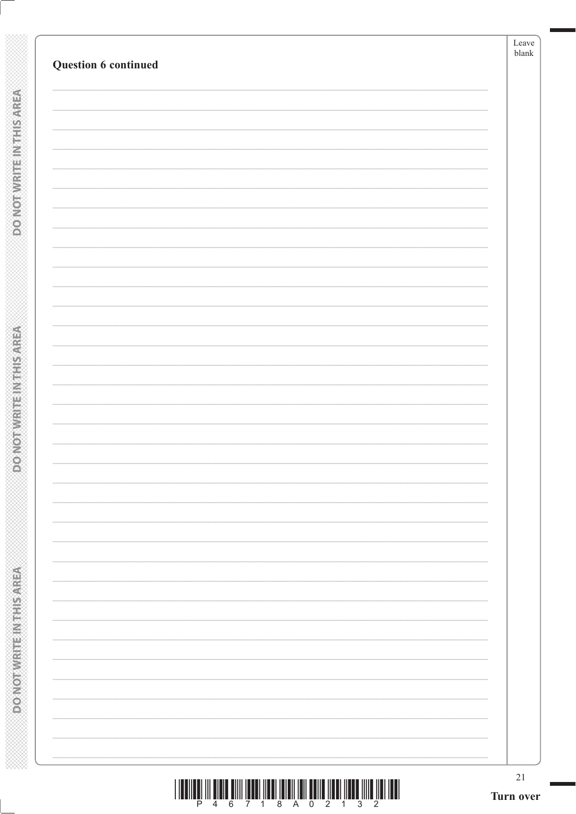**POINOT WRITEIN THIS AREA** 

**DOMOTWRITE INTHIS AREA**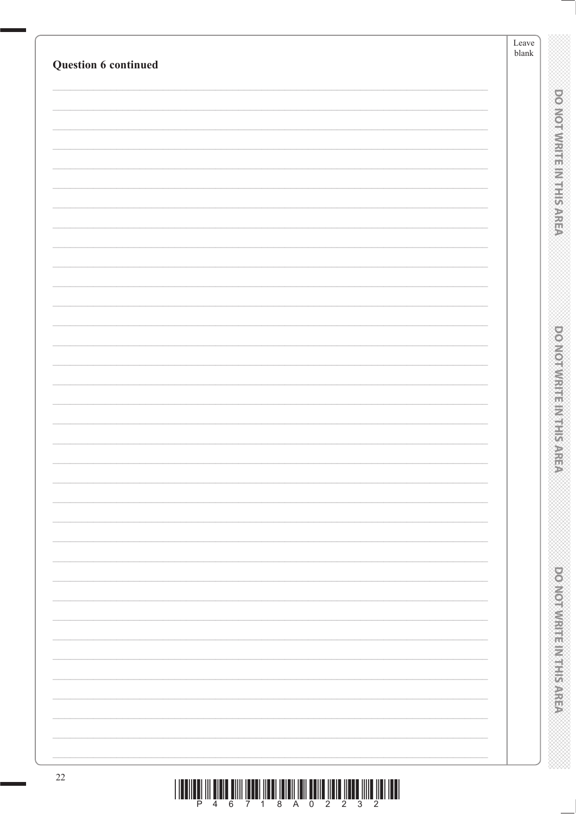|                      | ${\rm Leave}$<br>blank |                                |
|----------------------|------------------------|--------------------------------|
| Question 6 continued |                        |                                |
|                      |                        |                                |
|                      |                        | <b>DO NOTWARD IN THE RAREA</b> |
|                      |                        |                                |
|                      |                        |                                |
|                      |                        |                                |
|                      |                        |                                |
|                      |                        |                                |
|                      |                        |                                |
|                      |                        |                                |
|                      |                        |                                |
|                      |                        |                                |
|                      |                        |                                |
|                      |                        |                                |
|                      |                        |                                |
|                      |                        | <b>DOMORATION ENTERNATIONS</b> |
|                      |                        |                                |
|                      |                        |                                |
|                      |                        |                                |
|                      |                        |                                |
|                      |                        |                                |
|                      |                        |                                |
|                      |                        |                                |
|                      |                        |                                |
|                      |                        |                                |
|                      |                        |                                |
|                      |                        |                                |
|                      |                        | <b>DOMODIAL REGISTER</b>       |
|                      |                        |                                |
|                      |                        |                                |
|                      |                        |                                |
| $22\,$               |                        |                                |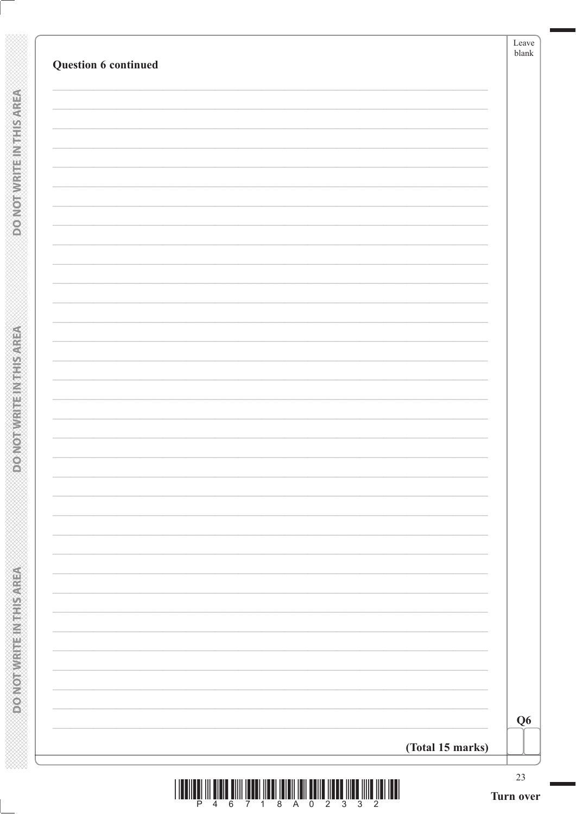| Question 6 continued | Leave<br>$b$ lank |
|----------------------|-------------------|
|                      |                   |
|                      |                   |
|                      |                   |
|                      |                   |
|                      |                   |
|                      |                   |
|                      |                   |
|                      |                   |
|                      |                   |
|                      |                   |
|                      |                   |
|                      |                   |
|                      |                   |
|                      |                   |
|                      |                   |
|                      |                   |
|                      |                   |
|                      |                   |
|                      | Q <sub>6</sub>    |
| (Total 15 marks)     |                   |

**POWSHIP METHOMOROO** 

**DO NOTWRITE INTHIS AREA**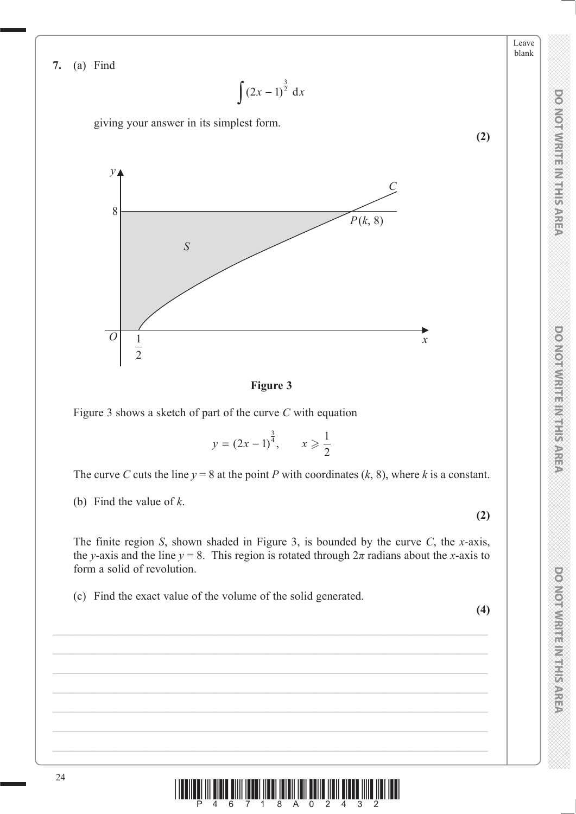**7.** (a) Find

$$
\int (2x-1)^{\frac{3}{2}} dx
$$

giving your answer in its simplest form.





Figure 3 shows a sketch of part of the curve *C* with equation

$$
y = (2x - 1)^{\frac{3}{4}}, \quad x \ge \frac{1}{2}
$$

The curve *C* cuts the line  $y = 8$  at the point *P* with coordinates (*k*, 8), where *k* is a constant.

(b) Find the value of *k*.

The finite region *S*, shown shaded in Figure 3, is bounded by the curve *C*, the *x*-axis, the *y*-axis and the line  $y = 8$ . This region is rotated through  $2\pi$  radians about the *x*-axis to form a solid of revolution.

(c) Find the exact value of the volume of the solid generated.

**(4)**

**(2)**

**DO NOT WRITE IN THIS AREA** 

Leave blank

**(2)**

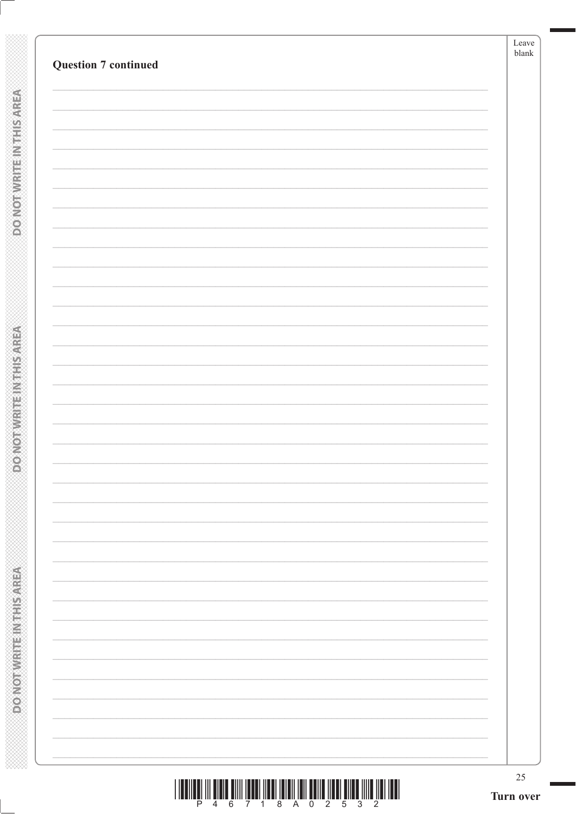| <b>Question 7 continued</b> |  |
|-----------------------------|--|
|                             |  |
|                             |  |
|                             |  |
|                             |  |
|                             |  |
|                             |  |
|                             |  |
|                             |  |
|                             |  |
|                             |  |
|                             |  |
|                             |  |
|                             |  |
|                             |  |
|                             |  |
|                             |  |
|                             |  |
|                             |  |
|                             |  |
|                             |  |
|                             |  |
|                             |  |
|                             |  |
|                             |  |
|                             |  |
|                             |  |
|                             |  |
|                             |  |
|                             |  |

**DONOTWRITEINTHISAREA** 

**DOMOTWRITE INTHIS AREA**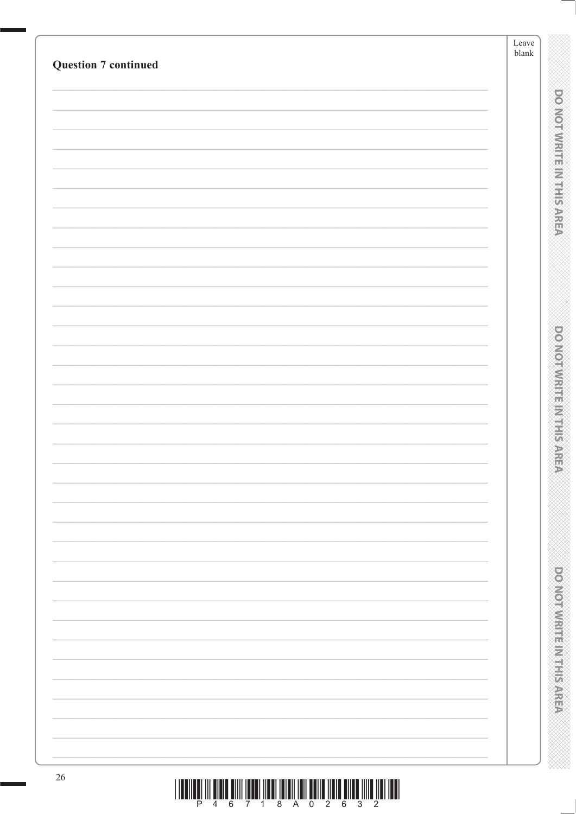| <b>Question 7 continued</b> | ${\rm Leave}$<br>blank         |
|-----------------------------|--------------------------------|
|                             |                                |
|                             |                                |
|                             |                                |
|                             |                                |
|                             |                                |
|                             | <b>DO NOTWARD IN THE RAREA</b> |
|                             |                                |
|                             |                                |
|                             |                                |
|                             |                                |
|                             |                                |
|                             |                                |
|                             |                                |
|                             | <b>DOMORATION ENTERNATIONS</b> |
|                             |                                |
|                             |                                |
|                             |                                |
|                             |                                |
|                             |                                |
|                             |                                |
|                             |                                |
|                             |                                |
|                             |                                |
|                             |                                |
|                             |                                |
|                             |                                |
|                             | <b>DOMOROVICE IN PERSONS</b>   |
|                             |                                |
|                             |                                |
|                             |                                |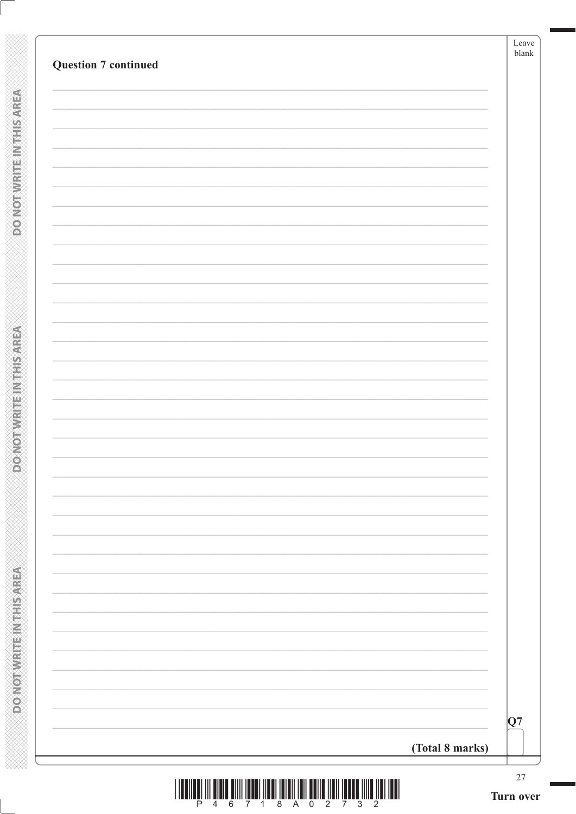| (Total 8 marks) |    |
|-----------------|----|
|                 | Q7 |
|                 |    |
|                 |    |
|                 |    |
|                 |    |
|                 |    |
|                 |    |
|                 |    |
|                 |    |
|                 |    |
|                 |    |
|                 |    |
|                 |    |
|                 |    |
|                 |    |
|                 |    |
|                 |    |
|                 |    |
|                 |    |
|                 |    |
|                 |    |
|                 |    |
|                 |    |
|                 |    |
|                 |    |
|                 |    |

**POINOT WRITEIN THIS AREA** 

**DONOTWRITEIN THIS AREA**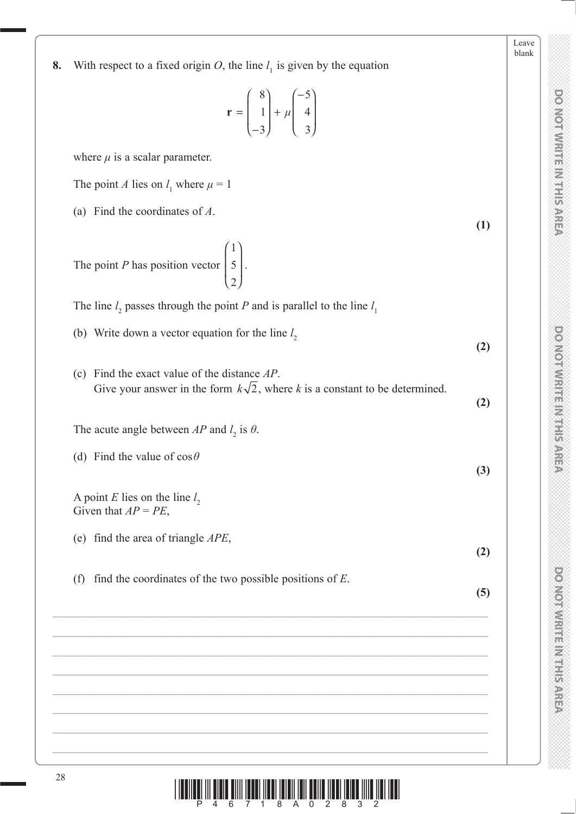| 8. | With respect to a fixed origin O, the line $l_1$ is given by the equation                                                                |     |
|----|------------------------------------------------------------------------------------------------------------------------------------------|-----|
|    | $\mathbf{r} = \begin{bmatrix} 8 \\ 1 \\ -3 \end{bmatrix} + \mu \begin{bmatrix} -5 \\ 4 \\ 3 \end{bmatrix}$                               |     |
|    | where $\mu$ is a scalar parameter.                                                                                                       |     |
|    | The point A lies on $l_1$ where $\mu = 1$                                                                                                |     |
|    | (a) Find the coordinates of $A$ .                                                                                                        |     |
|    | The point <i>P</i> has position vector $\begin{bmatrix} 1 \\ 5 \\ 2 \end{bmatrix}$ .                                                     | (1) |
|    | The line $l_2$ passes through the point P and is parallel to the line $l_1$                                                              |     |
|    | (b) Write down a vector equation for the line $l_2$                                                                                      | (2) |
|    | Find the exact value of the distance $AP$ .<br>(c)<br>Give your answer in the form $k\sqrt{2}$ , where k is a constant to be determined. | (2) |
|    | The acute angle between AP and $l_2$ is $\theta$ .                                                                                       |     |
|    | (d) Find the value of $\cos \theta$                                                                                                      | (3) |
|    | A point E lies on the line $l_2$<br>Given that $AP = PE$ ,                                                                               |     |
|    | (e) find the area of triangle $APE$ ,                                                                                                    | (2) |
|    | find the coordinates of the two possible positions of $E$ .<br>(f)                                                                       | (5) |
|    |                                                                                                                                          |     |
|    |                                                                                                                                          |     |
|    |                                                                                                                                          |     |
|    |                                                                                                                                          |     |
|    |                                                                                                                                          |     |

**DOMOTWRITEIN HEAREN** 

Leave blank

**DO NOT WRITE IN THIS AREA DO NOT WRITE IN THIS AREA DO NOT WRITE IN THIS AREA DO NOT WRITE IN THIS AREA DO NOT WRITE IN THIS AREA DO NOT WRITE IN THIS AREA DO NOT WRITE IN THIS AREA DO NOT WRITE IN THIS AREA DO NOT WRITE DO NOTWRITE METHODS** 

28  $\left|\frac{1}{2}\right|\left|\left|\frac{1}{4}\right|\right|\left|\left|\frac{1}{6}\right|\right|\left|\left|\frac{1}{2}\right|\right|\left|\left|\frac{1}{2}\right|\right|\left|\left|\frac{1}{2}\right|\right|\left|\left|\frac{1}{2}\right|\left|\left|\frac{1}{2}\right|\right|\left|\left|\frac{1}{2}\right|\right|\left|\left|\frac{1}{2}\right|\right|\left|\left|\frac{1}{2}\right|\right|\left|\left|\frac{1}{2}\right|\right|\left|\left|\frac{1}{2}\right|\right|\left|\left|\frac{1}{2}\right|\right|\left|\left|\frac{1}{2}\right|\right|\left|\left|\frac{1}{2}\right|\$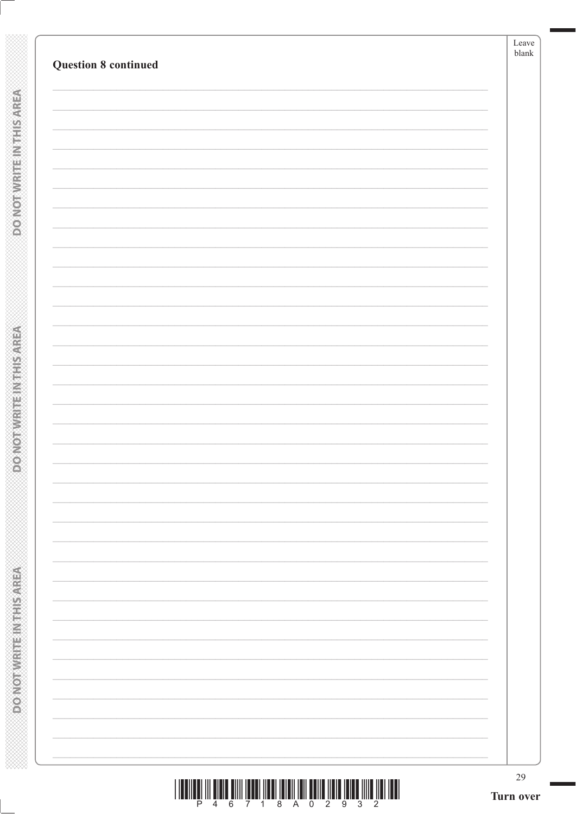**DONOTWRITEINTHISAREA** 

**DOMOTWRITE INTHIS AREA**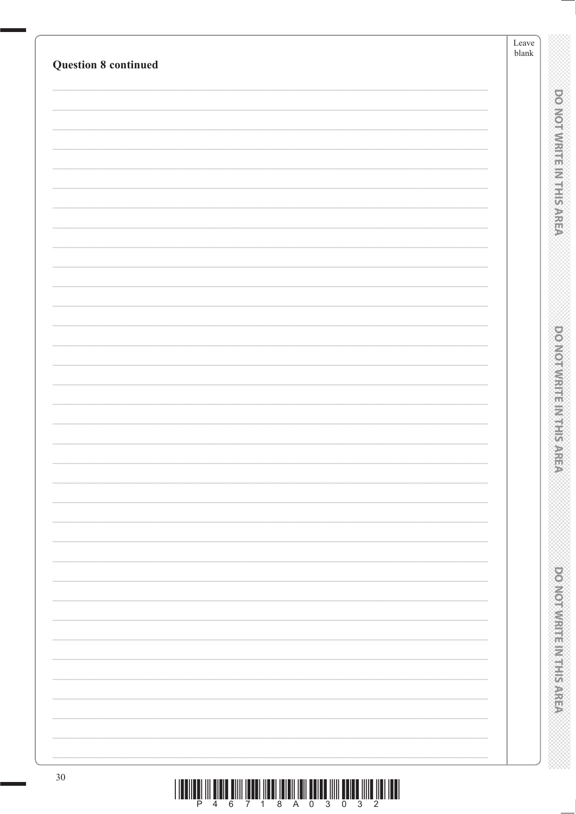|                             | Leave<br>blank                      |
|-----------------------------|-------------------------------------|
| <b>Question 8 continued</b> |                                     |
|                             |                                     |
|                             | <b>DO NOTWARD IN THE RAREA</b>      |
|                             |                                     |
|                             |                                     |
|                             |                                     |
|                             |                                     |
|                             |                                     |
|                             |                                     |
|                             |                                     |
|                             |                                     |
|                             |                                     |
|                             |                                     |
|                             |                                     |
|                             | <b>DOMESTIC RELEASED AND STREET</b> |
|                             |                                     |
|                             |                                     |
|                             |                                     |
|                             |                                     |
|                             |                                     |
|                             |                                     |
|                             |                                     |
|                             |                                     |
|                             |                                     |
|                             |                                     |
|                             |                                     |
|                             |                                     |
|                             |                                     |
|                             | <b>DOMOROVICE IN PERSONS</b>        |
|                             |                                     |
|                             |                                     |
| $30\,$                      |                                     |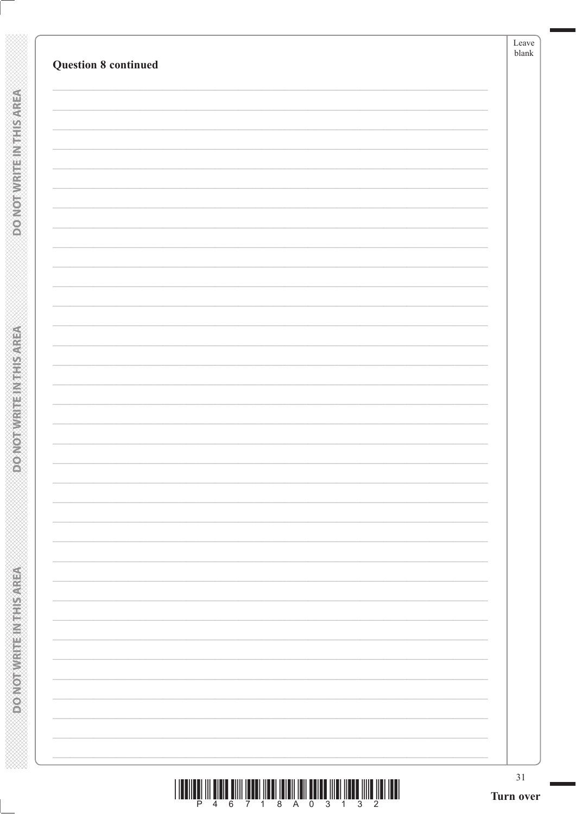| <b>Question 8 continued</b> |  |
|-----------------------------|--|
|                             |  |
|                             |  |
|                             |  |
|                             |  |
|                             |  |
|                             |  |
|                             |  |
|                             |  |
|                             |  |
|                             |  |
|                             |  |
|                             |  |
|                             |  |
|                             |  |
|                             |  |
|                             |  |
|                             |  |
|                             |  |
|                             |  |
|                             |  |
|                             |  |

**POINOT WRITEIN THIS AREA** 

**DOMOT WRITE INTHIS AREA**